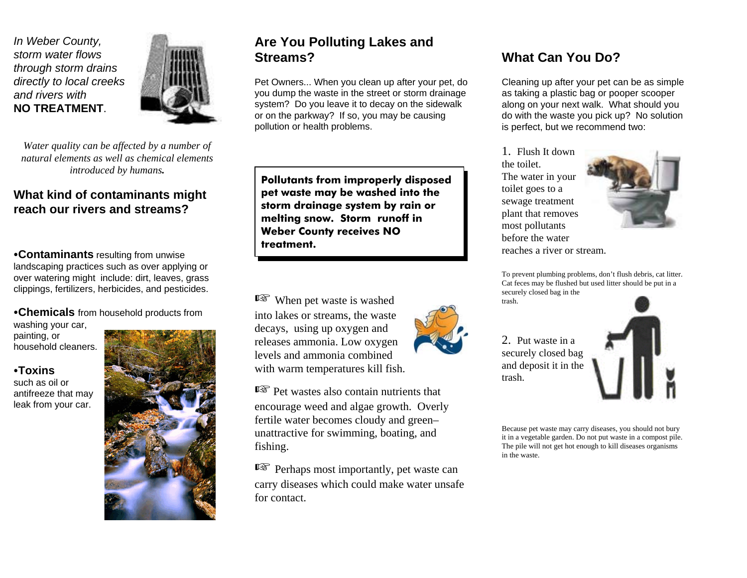*In Weber County, storm water flowsthrough storm drains directly to local creeks and rivers with* **NO TREATMENT**.



*Water quality can be affected by a number of natural elements as well as chemical elementsintroduced by humans.*

### **What kind of contaminants might reach our rivers and streams?**

**Contaminants** resulting from unwise landscaping practices such as over applying or over watering might include: dirt, leaves, grass clippings, fertilizers, herbicides, and pesticides.

C**Chemicals** from household products from washing your car,

painting, or household cleaners.

#### C**Toxins**

such as oil orantifreeze that may leak from your car.



### **Are You Polluting Lakes and Streams?**

Pet Owners... When you clean up after your pet, do you dump the waste in the street or storm drainage system? Do you leave it to decay on the sidewalk or on the parkway? If so, you may be causing pollution or health problems.

**Pollutants from improperly disposed pet waste may be washed into the storm drainage system by rain or melting snow. Storm runoff in Weber County receives NO treatment.**

 $E \$  When pet waste is washed into lakes or streams, the waste decays, using up oxygen and releases ammonia. Low oxygen levels and ammonia combinedwith warm temperatures kill fish.

 $\mathbb{R}$  Pet wastes also contain nutrients that encourage weed and algae growth. Overly fertile water becomes cloudy and green– unattractive for swimming, boating, and fishing.

 $E \$  Perhaps most importantly, pet waste can carry diseases which could make water unsafe for contact.

## **What Can You Do?**

Cleaning up after your pet can be as simple as taking a plastic bag or pooper scooper along on your next walk. What should you do with the waste you pick up? No solution is perfect, but we recommend two:

1. Flush It downthe toilet.The water in your toilet goes to a sewage treatment plant that removes most pollutants before the waterreaches a river or stream.

2. Put waste in asecurely closed bag and deposit it in the

trash.



To prevent plumbing problems, don't flush debris, cat litter. Cat feces may be flushed but used litter should be put in a securely closed bag in the trash.



Because pet waste may carry diseases, you should not bury it in a vegetable garden. Do not put waste in a compost pile. The pile will not get hot enough to kill diseases organisms in the waste.